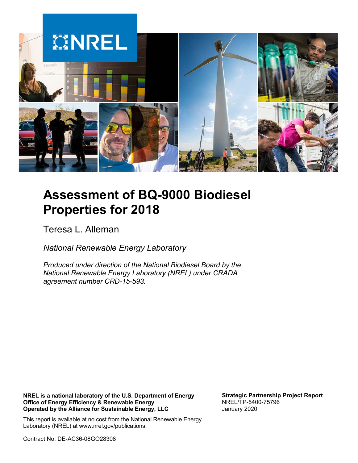

# **Assessment of BQ-9000 Biodiesel Properties for 2018**

Teresa L. Alleman

*National Renewable Energy Laboratory*

*Produced under direction of the National Biodiesel Board by the National Renewable Energy Laboratory (NREL) under CRADA agreement number CRD-15-593.*

**NREL is a national laboratory of the U.S. Department of Energy Office of Energy Efficiency & Renewable Energy Operated by the Alliance for Sustainable Energy, LLC**

**Strategic Partnership Project Report** NREL/TP-5400-75796 January 2020

This report is available at no cost from the National Renewable Energy Laboratory (NREL) at www.nrel.gov/publications.

Contract No. DE-AC36-08GO28308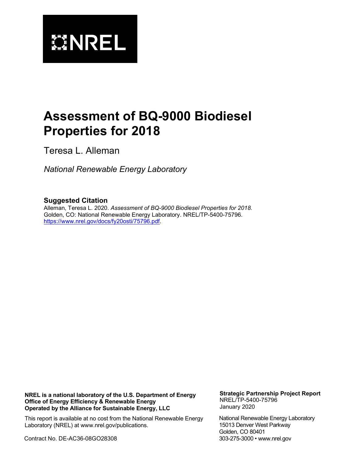

# **Assessment of BQ-9000 Biodiesel Properties for 2018**

Teresa L. Alleman

*National Renewable Energy Laboratory*

#### **Suggested Citation**

Alleman, Teresa L. 2020. *Assessment of BQ-9000 Biodiesel Properties for 2018*. Golden, CO: National Renewable Energy Laboratory. NREL/TP-5400-75796. [https://www.nrel.gov/docs/fy20osti/75796.pdf.](https://www.nrel.gov/docs/fy20osti/75796.pdf)

**NREL is a national laboratory of the U.S. Department of Energy Office of Energy Efficiency & Renewable Energy Operated by the Alliance for Sustainable Energy, LLC**

This report is available at no cost from the National Renewable Energy Laboratory (NREL) at www.nrel.gov/publications.

Contract No. DE-AC36-08GO28308

**Strategic Partnership Project Report** NREL/TP-5400-75796 January 2020

National Renewable Energy Laboratory 15013 Denver West Parkway Golden, CO 80401 303-275-3000 • www.nrel.gov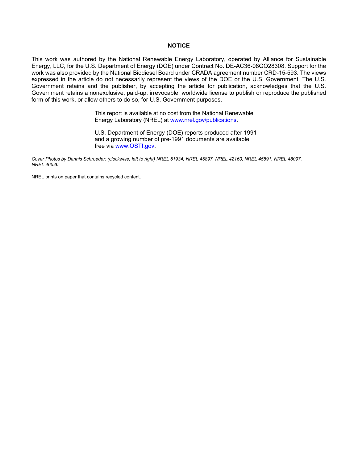#### **NOTICE**

This work was authored by the National Renewable Energy Laboratory, operated by Alliance for Sustainable Energy, LLC, for the U.S. Department of Energy (DOE) under Contract No. DE-AC36-08GO28308. Support for the work was also provided by the National Biodiesel Board under CRADA agreement number CRD-15-593. The views expressed in the article do not necessarily represent the views of the DOE or the U.S. Government. The U.S. Government retains and the publisher, by accepting the article for publication, acknowledges that the U.S. Government retains a nonexclusive, paid-up, irrevocable, worldwide license to publish or reproduce the published form of this work, or allow others to do so, for U.S. Government purposes.

> This report is available at no cost from the National Renewable Energy Laboratory (NREL) at [www.nrel.gov/publications.](http://www.nrel.gov/publications)

U.S. Department of Energy (DOE) reports produced after 1991 and a growing number of pre-1991 documents are available free via [www.OSTI.gov.](http://www.osti.gov/)

*Cover Photos by Dennis Schroeder: (clockwise, left to right) NREL 51934, NREL 45897, NREL 42160, NREL 45891, NREL 48097, NREL 46526.*

NREL prints on paper that contains recycled content.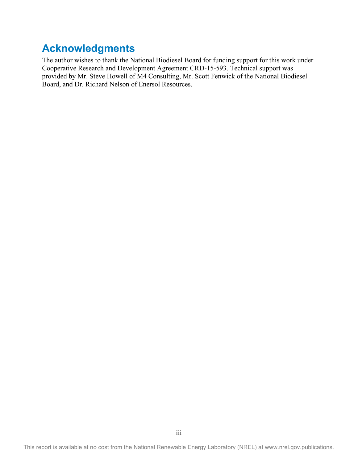### **Acknowledgments**

The author wishes to thank the National Biodiesel Board for funding support for this work under Cooperative Research and Development Agreement CRD-15-593. Technical support was provided by Mr. Steve Howell of M4 Consulting, Mr. Scott Fenwick of the National Biodiesel Board, and Dr. Richard Nelson of Enersol Resources.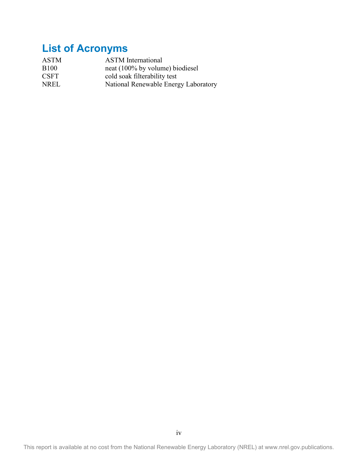## **List of Acronyms**

| <b>ASTM</b>  | <b>ASTM</b> International            |
|--------------|--------------------------------------|
| <b>B</b> 100 | neat (100% by volume) biodiesel      |
| <b>CSFT</b>  | cold soak filterability test         |
| <b>NREL</b>  | National Renewable Energy Laboratory |

This report is available at no cost from the National Renewable Energy Laboratory (NREL) at www.nrel.gov.publications.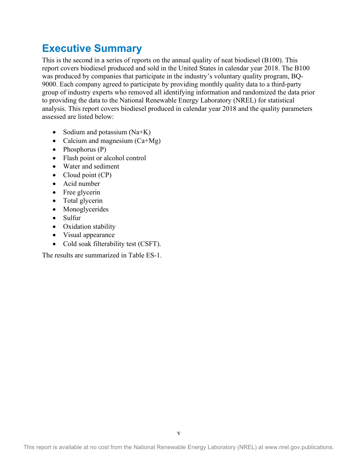### **Executive Summary**

This is the second in a series of reports on the annual quality of neat biodiesel (B100). This report covers biodiesel produced and sold in the United States in calendar year 2018. The B100 was produced by companies that participate in the industry's voluntary quality program, BQ-9000. Each company agreed to participate by providing monthly quality data to a third-party group of industry experts who removed all identifying information and randomized the data prior to providing the data to the National Renewable Energy Laboratory (NREL) for statistical analysis. This report covers biodiesel produced in calendar year 2018 and the quality parameters assessed are listed below:

- Sodium and potassium  $(Na+K)$
- Calcium and magnesium  $(Ca+Mg)$
- Phosphorus (P)
- Flash point or alcohol control
- Water and sediment
- Cloud point (CP)
- Acid number
- Free glycerin
- Total glycerin
- Monoglycerides
- Sulfur
- Oxidation stability
- Visual appearance
- Cold soak filterability test (CSFT).

The results are summarized in Table ES-1.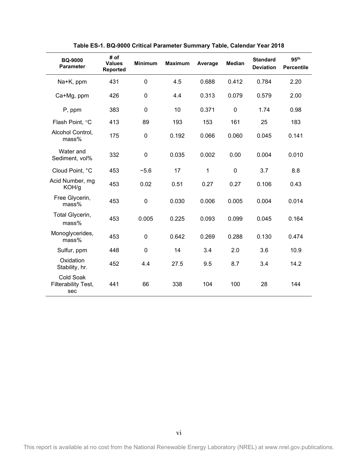<span id="page-6-0"></span>

| <b>BQ-9000</b><br><b>Parameter</b>      | # of<br><b>Values</b><br><b>Reported</b> | <b>Minimum</b> | <b>Maximum</b> | Average | <b>Median</b> | <b>Standard</b><br><b>Deviation</b> | 95 <sup>th</sup><br><b>Percentile</b> |
|-----------------------------------------|------------------------------------------|----------------|----------------|---------|---------------|-------------------------------------|---------------------------------------|
| Na+K, ppm                               | 431                                      | $\mathbf 0$    | 4.5            | 0.688   | 0.412         | 0.784                               | 2.20                                  |
| Ca+Mg, ppm                              | 426                                      | 0              | 4.4            | 0.313   | 0.079         | 0.579                               | 2.00                                  |
| P, ppm                                  | 383                                      | 0              | 10             | 0.371   | $\pmb{0}$     | 1.74                                | 0.98                                  |
| Flash Point, °C                         | 413                                      | 89             | 193            | 153     | 161           | 25                                  | 183                                   |
| Alcohol Control,<br>mass%               | 175                                      | $\mathbf 0$    | 0.192          | 0.066   | 0.060         | 0.045                               | 0.141                                 |
| Water and<br>Sediment, vol%             | 332                                      | $\mathbf 0$    | 0.035          | 0.002   | 0.00          | 0.004                               | 0.010                                 |
| Cloud Point, °C                         | 453                                      | $-5.6$         | 17             | 1       | $\mathbf 0$   | 3.7                                 | 8.8                                   |
| Acid Number, mg<br>KOH/g                | 453                                      | 0.02           | 0.51           | 0.27    | 0.27          | 0.106                               | 0.43                                  |
| Free Glycerin,<br>mass%                 | 453                                      | $\mathbf 0$    | 0.030          | 0.006   | 0.005         | 0.004                               | 0.014                                 |
| Total Glycerin,<br>mass%                | 453                                      | 0.005          | 0.225          | 0.093   | 0.099         | 0.045                               | 0.164                                 |
| Monoglycerides,<br>mass%                | 453                                      | $\overline{0}$ | 0.642          | 0.269   | 0.288         | 0.130                               | 0.474                                 |
| Sulfur, ppm                             | 448                                      | $\mathbf 0$    | 14             | 3.4     | 2.0           | 3.6                                 | 10.9                                  |
| Oxidation<br>Stability, hr.             | 452                                      | 4.4            | 27.5           | 9.5     | 8.7           | 3.4                                 | 14.2                                  |
| Cold Soak<br>Filterability Test,<br>sec | 441                                      | 66             | 338            | 104     | 100           | 28                                  | 144                                   |

**Table ES-1. BQ-9000 Critical Parameter Summary Table, Calendar Year 2018**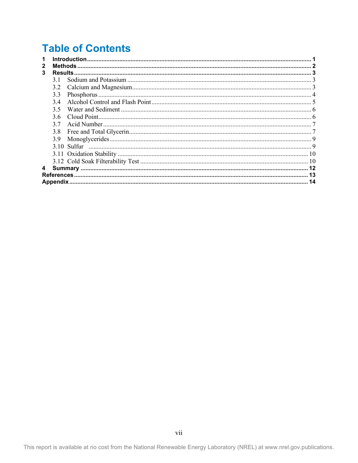### **Table of Contents**

| 3 |     |    |  |
|---|-----|----|--|
|   | 31  |    |  |
|   | 3.2 |    |  |
|   | 3.3 |    |  |
|   | 34  |    |  |
|   | 3.5 |    |  |
|   | 3.6 |    |  |
|   | 3.7 |    |  |
|   | 3.8 |    |  |
|   | 3.9 |    |  |
|   |     |    |  |
|   |     |    |  |
|   |     |    |  |
| 4 |     |    |  |
|   |     |    |  |
|   |     | 14 |  |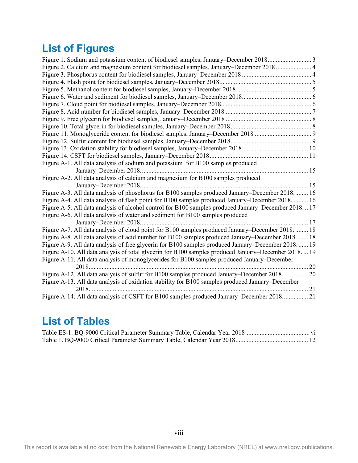## **List of Figures**

| Figure 2. Calcium and magnesium content for biodiesel samples, January–December 2018 4              |
|-----------------------------------------------------------------------------------------------------|
|                                                                                                     |
|                                                                                                     |
|                                                                                                     |
|                                                                                                     |
|                                                                                                     |
|                                                                                                     |
|                                                                                                     |
|                                                                                                     |
|                                                                                                     |
|                                                                                                     |
|                                                                                                     |
|                                                                                                     |
| Figure A-1. All data analysis of sodium and potassium for B100 samples produced                     |
|                                                                                                     |
| Figure A-2. All data analysis of calcium and magnesium for B100 samples produced                    |
|                                                                                                     |
| Figure A-3. All data analysis of phosphorus for B100 samples produced January-December 2018 16      |
| Figure A-4. All data analysis of flash point for B100 samples produced January–December 2018.  16   |
| Figure A-5. All data analysis of alcohol control for B100 samples produced January-December 201817  |
| Figure A-6. All data analysis of water and sediment for B100 samples produced                       |
|                                                                                                     |
| Figure A-7. All data analysis of cloud point for B100 samples produced January–December 2018.  18   |
| Figure A-8. All data analysis of acid number for B100 samples produced January-December 2018.  18   |
| Figure A-9. All data analysis of free glycerin for B100 samples produced January–December 2018 19   |
| Figure A-10. All data analysis of total glycerin for B100 samples produced January–December 2018 19 |
| Figure A-11. All data analysis of monoglycerides for B100 samples produced January-December         |
| 2018                                                                                                |
| Figure A-12. All data analysis of sulfur for B100 samples produced January–December 2018 20         |
| Figure A-13. All data analysis of oxidation stability for B100 samples produced January–December    |
|                                                                                                     |
| Figure A-14. All data analysis of CSFT for B100 samples produced January–December 2018 21           |

### **List of Tables**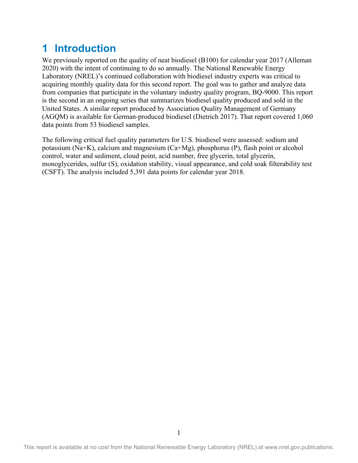### <span id="page-9-0"></span>**1 Introduction**

We previously reported on the quality of neat biodiesel (B100) for calendar year 2017 (Alleman 2020) with the intent of continuing to do so annually. The National Renewable Energy Laboratory (NREL)'s continued collaboration with biodiesel industry experts was critical to acquiring monthly quality data for this second report. The goal was to gather and analyze data from companies that participate in the voluntary industry quality program, BQ-9000. This report is the second in an ongoing series that summarizes biodiesel quality produced and sold in the United States. A similar report produced by Association Quality Management of Germany (AGQM) is available for German-produced biodiesel (Dietrich 2017). That report covered 1,060 data points from 53 biodiesel samples.

The following critical fuel quality parameters for U.S. biodiesel were assessed: sodium and potassium (Na+K), calcium and magnesium (Ca+Mg), phosphorus (P), flash point or alcohol control, water and sediment, cloud point, acid number, free glycerin, total glycerin, monoglycerides, sulfur (S), oxidation stability, visual appearance, and cold soak filterability test (CSFT). The analysis included 5,391 data points for calendar year 2018.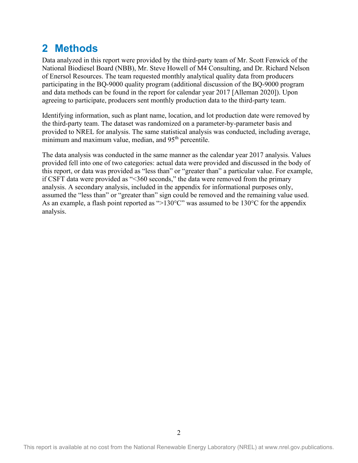### <span id="page-10-0"></span>**2 Methods**

Data analyzed in this report were provided by the third-party team of Mr. Scott Fenwick of the National Biodiesel Board (NBB), Mr. Steve Howell of M4 Consulting, and Dr. Richard Nelson of Enersol Resources. The team requested monthly analytical quality data from producers participating in the BQ-9000 quality program (additional discussion of the BQ-9000 program and data methods can be found in the report for calendar year 2017 [Alleman 2020]). Upon agreeing to participate, producers sent monthly production data to the third-party team.

Identifying information, such as plant name, location, and lot production date were removed by the third-party team. The dataset was randomized on a parameter-by-parameter basis and provided to NREL for analysis. The same statistical analysis was conducted, including average, minimum and maximum value, median, and 95<sup>th</sup> percentile.

The data analysis was conducted in the same manner as the calendar year 2017 analysis. Values provided fell into one of two categories: actual data were provided and discussed in the body of this report, or data was provided as "less than" or "greater than" a particular value. For example, if CSFT data were provided as "<360 seconds," the data were removed from the primary analysis. A secondary analysis, included in the appendix for informational purposes only, assumed the "less than" or "greater than" sign could be removed and the remaining value used. As an example, a flash point reported as " $>130^{\circ}$ C" was assumed to be 130 $^{\circ}$ C for the appendix analysis.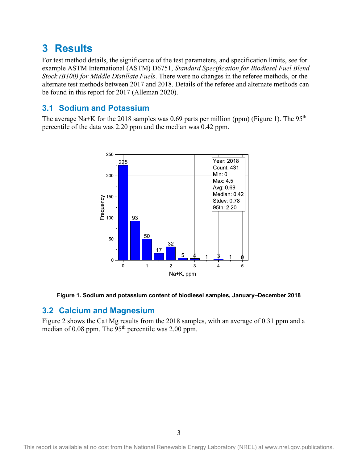### <span id="page-11-0"></span>**3 Results**

For test method details, the significance of the test parameters, and specification limits, see for example ASTM International (ASTM) D6751, *Standard Specification for Biodiesel Fuel Blend Stock (B100) for Middle Distillate Fuels*. There were no changes in the referee methods, or the alternate test methods between 2017 and 2018. Details of the referee and alternate methods can be found in this report for 2017 (Alleman 2020).

### <span id="page-11-1"></span>**3.1 Sodium and Potassium**

The average Na+K for the 2018 samples was 0.69 parts per million (ppm) [\(Figure 1\)](#page-11-3). The  $95<sup>th</sup>$ percentile of the data was 2.20 ppm and the median was 0.42 ppm.



<span id="page-11-3"></span>**Figure 1. Sodium and potassium content of biodiesel samples, January–December 2018**

#### <span id="page-11-2"></span>**3.2 Calcium and Magnesium**

[Figure 2](#page-12-1) shows the Ca+Mg results from the 2018 samples, with an average of 0.31 ppm and a median of 0.08 ppm. The  $95<sup>th</sup>$  percentile was 2.00 ppm.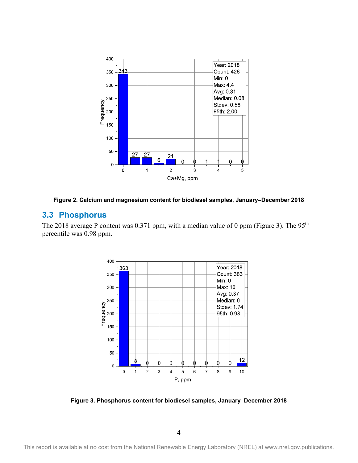

<span id="page-12-1"></span>**Figure 2. Calcium and magnesium content for biodiesel samples, January–December 2018**

#### <span id="page-12-0"></span>**3.3 Phosphorus**

The 2018 average P content was 0.371 ppm, with a median value of 0 ppm [\(Figure 3\)](#page-12-2). The  $95<sup>th</sup>$ percentile was 0.98 ppm.



<span id="page-12-2"></span>**Figure 3. Phosphorus content for biodiesel samples, January–December 2018**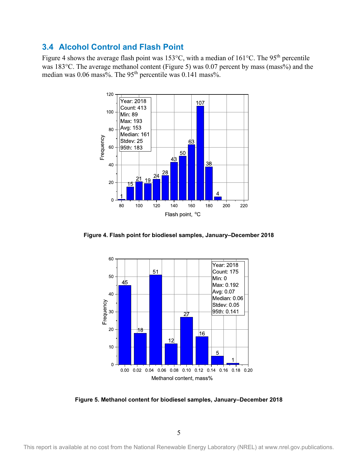#### <span id="page-13-0"></span>**3.4 Alcohol Control and Flash Point**

[Figure 4](#page-13-1) shows the average flash point was 153°C, with a median of 161°C. The 95<sup>th</sup> percentile was 183°C. The average methanol content [\(Figure 5\)](#page-13-2) was 0.07 percent by mass (mass%) and the median was 0.06 mass%. The 95<sup>th</sup> percentile was 0.141 mass%.



<span id="page-13-1"></span>**Figure 4. Flash point for biodiesel samples, January–December 2018** 



<span id="page-13-2"></span>**Figure 5. Methanol content for biodiesel samples, January–December 2018**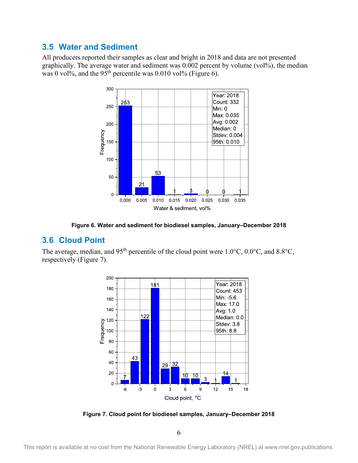#### <span id="page-14-0"></span>**3.5 Water and Sediment**

All producers reported their samples as clear and bright in 2018 and data are not presented graphically. The average water and sediment was 0.002 percent by volume (vol%), the median was 0 vol%, and the 95<sup>th</sup> percentile was 0.010 vol% [\(Figure 6\)](#page-14-2).



**Figure 6. Water and sediment for biodiesel samples, January–December 2018**

#### <span id="page-14-2"></span><span id="page-14-1"></span>**3.6 Cloud Point**

The average, median, and 95<sup>th</sup> percentile of the cloud point were 1.0°C, 0.0°C, and 8.8°C, respectively [\(Figure 7\)](#page-14-3).



<span id="page-14-3"></span>**Figure 7. Cloud point for biodiesel samples, January–December 2018**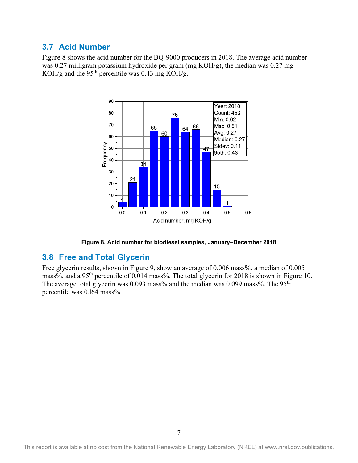#### <span id="page-15-0"></span>**3.7 Acid Number**

[Figure 8](#page-15-2) shows the acid number for the BQ-9000 producers in 2018. The average acid number was 0.27 milligram potassium hydroxide per gram (mg KOH/g), the median was 0.27 mg KOH/g and the 95<sup>th</sup> percentile was 0.43 mg KOH/g.



**Figure 8. Acid number for biodiesel samples, January–December 2018**

#### <span id="page-15-2"></span><span id="page-15-1"></span>**3.8 Free and Total Glycerin**

Free glycerin results, shown in [Figure 9,](#page-16-0) show an average of 0.006 mass%, a median of 0.005 mass%, and a 95th percentile of 0.014 mass%. The total glycerin for 2018 is shown in [Figure 10.](#page-16-1) The average total glycerin was 0.093 mass% and the median was 0.099 mass%. The 95<sup>th</sup> percentile was 0.l64 mass%.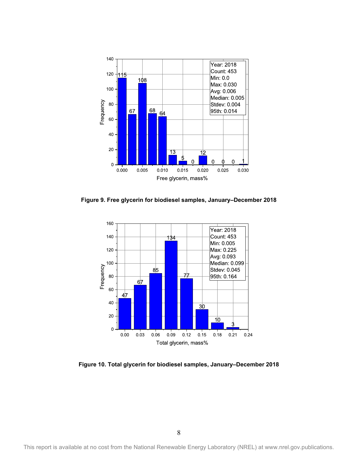

<span id="page-16-0"></span>**Figure 9. Free glycerin for biodiesel samples, January–December 2018** 



<span id="page-16-1"></span>**Figure 10. Total glycerin for biodiesel samples, January–December 2018**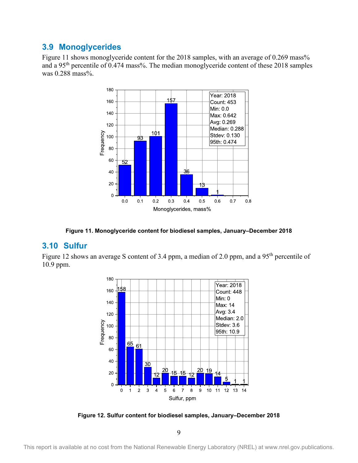#### <span id="page-17-0"></span>**3.9 Monoglycerides**

[Figure 11](#page-17-2) shows monoglyceride content for the 2018 samples, with an average of 0.269 mass% and a 95th percentile of 0.474 mass%. The median monoglyceride content of these 2018 samples was 0.288 mass%.



<span id="page-17-1"></span>**Figure 11. Monoglyceride content for biodiesel samples, January–December 2018**

#### <span id="page-17-2"></span>**3.10 Sulfur**

[Figure 12](#page-17-3) shows an average S content of 3.4 ppm, a median of 2.0 ppm, and a 95<sup>th</sup> percentile of 10.9 ppm.



<span id="page-17-3"></span>**Figure 12. Sulfur content for biodiesel samples, January–December 2018**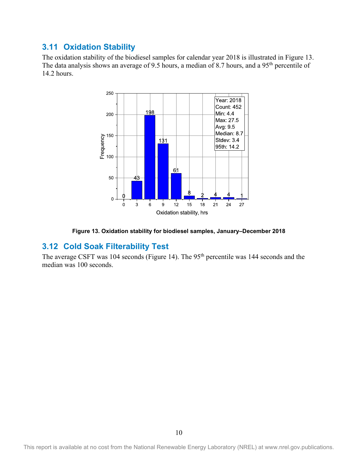#### <span id="page-18-0"></span>**3.11 Oxidation Stability**

The oxidation stability of the biodiesel samples for calendar year 2018 is illustrated in [Figure 13.](#page-18-2) The data analysis shows an average of 9.5 hours, a median of 8.7 hours, and a 95<sup>th</sup> percentile of 14.2 hours.



<span id="page-18-1"></span>**Figure 13. Oxidation stability for biodiesel samples, January–December 2018**

#### <span id="page-18-2"></span>**3.12 Cold Soak Filterability Test**

The average CSFT was 104 seconds [\(Figure 14\)](#page-19-0). The 95<sup>th</sup> percentile was 144 seconds and the median was 100 seconds.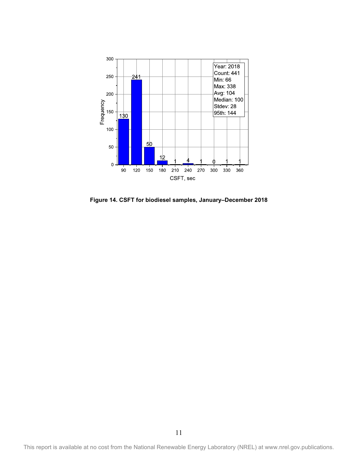

<span id="page-19-0"></span>**Figure 14. CSFT for biodiesel samples, January–December 2018**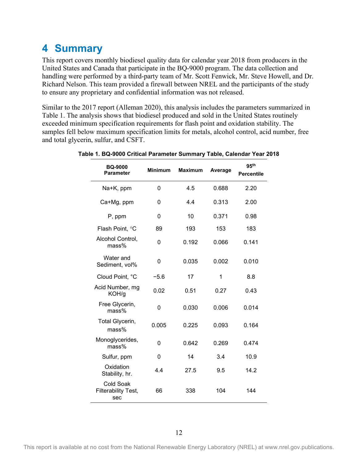### <span id="page-20-0"></span>**4 Summary**

This report covers monthly biodiesel quality data for calendar year 2018 from producers in the United States and Canada that participate in the BQ-9000 program. The data collection and handling were performed by a third-party team of Mr. Scott Fenwick, Mr. Steve Howell, and Dr. Richard Nelson. This team provided a firewall between NREL and the participants of the study to ensure any proprietary and confidential information was not released.

Similar to the 2017 report (Alleman 2020), this analysis includes the parameters summarized in Table 1. The analysis shows that biodiesel produced and sold in the United States routinely exceeded minimum specification requirements for flash point and oxidation stability. The samples fell below maximum specification limits for metals, alcohol control, acid number, free and total glycerin, sulfur, and CSFT.

| <b>BQ-9000</b><br><b>Parameter</b>      | <b>Minimum</b> | <b>Maximum</b> | Average | 95 <sup>th</sup><br><b>Percentile</b> |
|-----------------------------------------|----------------|----------------|---------|---------------------------------------|
| Na+K, ppm                               | 0              | 4.5            | 0.688   | 2.20                                  |
| Ca+Mg, ppm                              | 0              | 4.4            | 0.313   | 2.00                                  |
| P, ppm                                  | 0              | 10             | 0.371   | 0.98                                  |
| Flash Point, °C                         | 89             | 193            | 153     | 183                                   |
| Alcohol Control,<br>mass%               | 0              | 0.192          | 0.066   | 0.141                                 |
| Water and<br>Sediment, vol%             | 0              | 0.035          | 0.002   | 0.010                                 |
| Cloud Point, °C                         | $-5.6$         | 17             | 1       | 8.8                                   |
| Acid Number, mg<br>KOH/g                | 0.02           | 0.51           | 0.27    | 0.43                                  |
| Free Glycerin,<br>mass%                 | 0              | 0.030          | 0.006   | 0.014                                 |
| Total Glycerin,<br>mass%                | 0.005          | 0.225          | 0.093   | 0.164                                 |
| Monoglycerides,<br>mass%                | 0              | 0.642          | 0.269   | 0.474                                 |
| Sulfur, ppm                             | 0              | 14             | 3.4     | 10.9                                  |
| Oxidation<br>Stability, hr.             | 44             | 27.5           | 9.5     | 14.2                                  |
| Cold Soak<br>Filterability Test,<br>sec | 66             | 338            | 104     | 144                                   |

<span id="page-20-1"></span>**Table 1. BQ-9000 Critical Parameter Summary Table, Calendar Year 2018**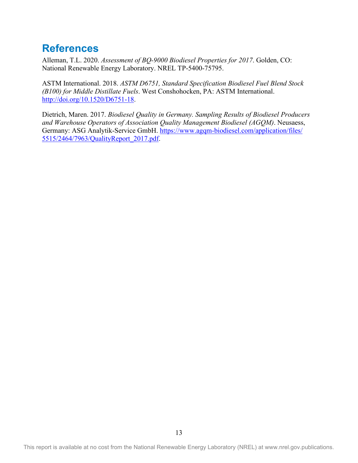### <span id="page-21-0"></span>**References**

Alleman, T.L. 2020. *Assessment of BQ-9000 Biodiesel Properties for 2017*. Golden, CO: National Renewable Energy Laboratory. NREL TP-5400-75795.

ASTM International. 2018. *ASTM D6751, Standard Specification Biodiesel Fuel Blend Stock (B100) for Middle Distillate Fuels*. West Conshohocken, PA: ASTM International. [http://doi.org/10.1520/D6751-18.](http://doi.org/10.1520/D6751-18)

Dietrich, Maren. 2017. *Biodiesel Quality in Germany. Sampling Results of Biodiesel Producers and Warehouse Operators of Association Quality Management Biodiesel (AGQM)*. Neusaess, Germany: ASG Analytik-Service GmbH. [https://www.agqm-biodiesel.com/application/files/](https://www.agqm-biodiesel.com/application/files/5515/2464/7963/QualityReport_2017.pdf) [5515/2464/7963/QualityReport\\_2017.pdf.](https://www.agqm-biodiesel.com/application/files/5515/2464/7963/QualityReport_2017.pdf)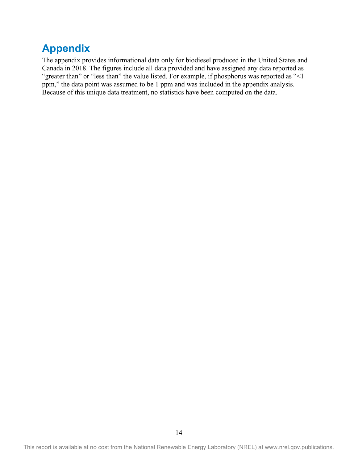### <span id="page-22-0"></span>**Appendix**

The appendix provides informational data only for biodiesel produced in the United States and Canada in 2018. The figures include all data provided and have assigned any data reported as "greater than" or "less than" the value listed. For example, if phosphorus was reported as "<1 ppm," the data point was assumed to be 1 ppm and was included in the appendix analysis. Because of this unique data treatment, no statistics have been computed on the data.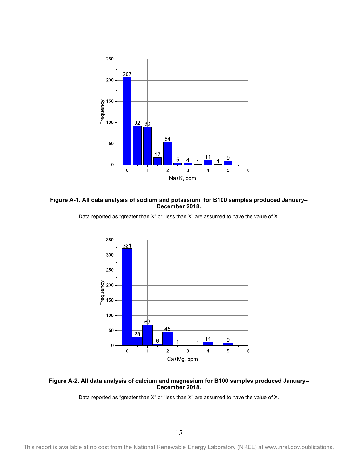

<span id="page-23-0"></span>**Figure A-1. All data analysis of sodium and potassium for B100 samples produced January– December 2018.**



<span id="page-23-1"></span>**Figure A-2. All data analysis of calcium and magnesium for B100 samples produced January– December 2018.**

Data reported as "greater than X" or "less than X" are assumed to have the value of X.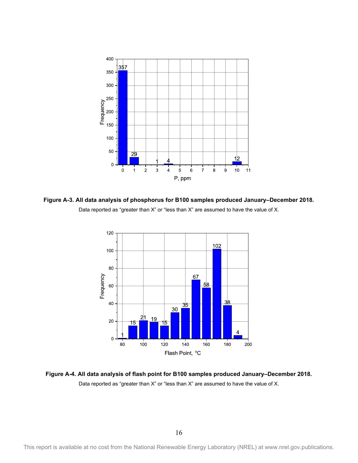

<span id="page-24-0"></span>**Figure A-3. All data analysis of phosphorus for B100 samples produced January–December 2018.** Data reported as "greater than X" or "less than X" are assumed to have the value of X.



<span id="page-24-1"></span>**Figure A-4. All data analysis of flash point for B100 samples produced January–December 2018.** Data reported as "greater than X" or "less than X" are assumed to have the value of X.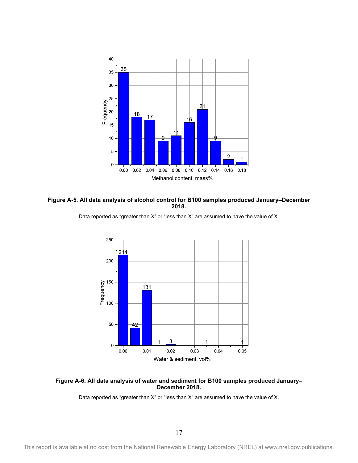

<span id="page-25-0"></span>**Figure A-5. All data analysis of alcohol control for B100 samples produced January–December 2018.**



<span id="page-25-1"></span>**Figure A-6. All data analysis of water and sediment for B100 samples produced January– December 2018.**

Data reported as "greater than X" or "less than X" are assumed to have the value of X.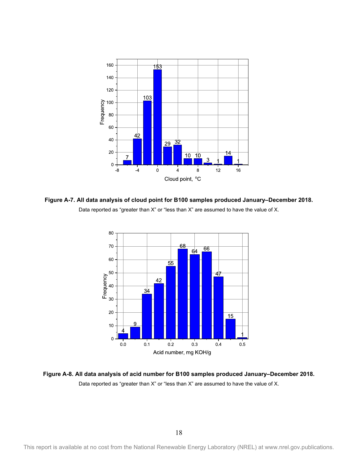

<span id="page-26-0"></span>**Figure A-7. All data analysis of cloud point for B100 samples produced January–December 2018.** Data reported as "greater than X" or "less than X" are assumed to have the value of X.



<span id="page-26-1"></span>**Figure A-8. All data analysis of acid number for B100 samples produced January–December 2018.** Data reported as "greater than X" or "less than X" are assumed to have the value of X.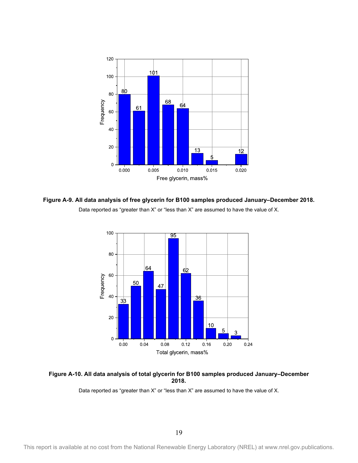

<span id="page-27-0"></span>**Figure A-9. All data analysis of free glycerin for B100 samples produced January–December 2018.** Data reported as "greater than X" or "less than X" are assumed to have the value of X.



<span id="page-27-1"></span>**Figure A-10. All data analysis of total glycerin for B100 samples produced January–December 2018.**

This report is available at no cost from the National Renewable Energy Laboratory (NREL) at www.nrel.gov.publications.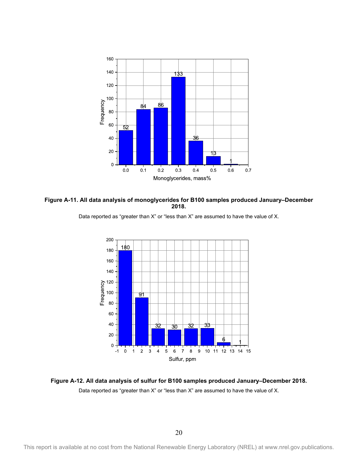

<span id="page-28-0"></span>**Figure A-11. All data analysis of monoglycerides for B100 samples produced January–December 2018.**





<span id="page-28-1"></span>**Figure A-12. All data analysis of sulfur for B100 samples produced January–December 2018.** Data reported as "greater than X" or "less than X" are assumed to have the value of X.